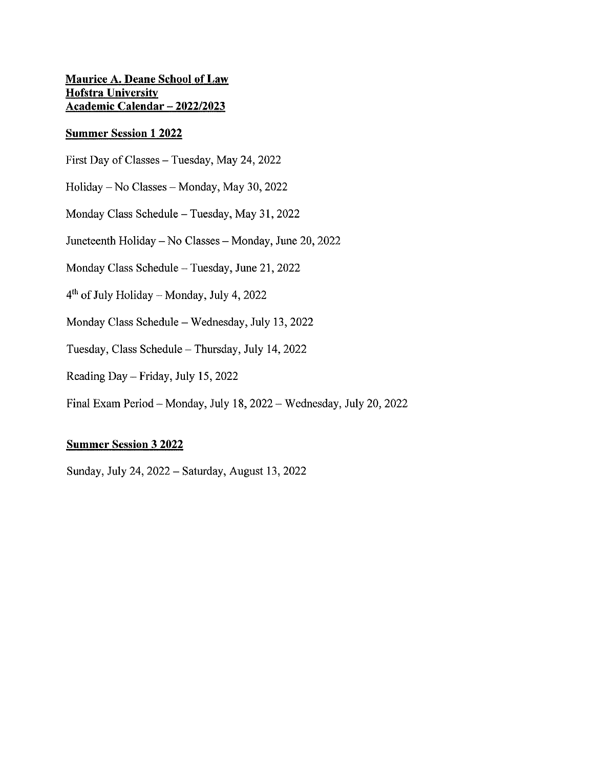## **Maurice A. Deane School of Law Hofstra University Academic Calendar - 2022/2023**

### **Summer Session 1 2022**

- First Day of Classes Tuesday, May 24, 2022
- Holiday No Classes Monday, May 30, 2022
- Monday Class Schedule Tuesday, May 31, 2022
- Juneteenth Holiday No Classes Monday, June 20, 2022
- Monday Class Schedule- Tuesday, June 21, 2022
- $4<sup>th</sup>$  of July Holiday Monday, July 4, 2022
- Monday Class Schedule Wednesday, July 13, 2022
- Tuesday, Class Schedule-Thursday, July 14, 2022
- Reading Day- Friday, July 15, 2022
- Final Exam Period-Monday, July 18, 2022- Wednesday, July 20, 2022

### **Summer Session 3 2022**

Sunday, July 24, 2022 - Saturday, August 13, 2022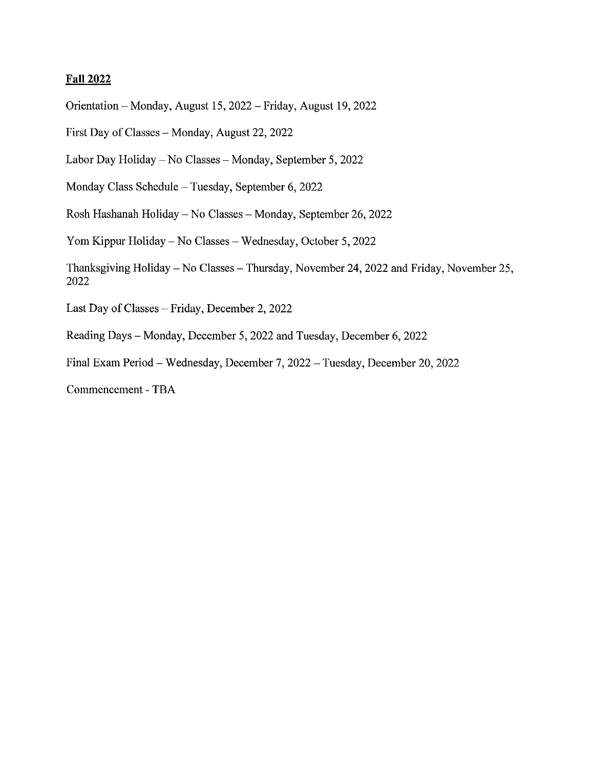### **Fall 2022**

Orientation-Monday, August 15, 2022-Friday, August 19, 2022

First Day of Classes - Monday, August 22, 2022

Labor Day Holiday - No Classes - Monday, September 5, 2022

Monday Class Schedule - Tuesday, September 6, 2022

Rosh Hashanah Holiday - No Classes - Monday, September 26, 2022

Yorn Kippur Holiday- No Classes- Wednesday, October 5, 2022

Thanksgiving Holiday - No Classes - Thursday, November 24, 2022 and Friday, November 25, 2022

Last Day of Classes - Friday, December 2, 2022

Reading Days - Monday, December 5, 2022 and Tuesday, December 6, 2022

Final Exam Period- Wednesday, December 7, 2022 - Tuesday, December 20, 2022

Commencement - TBA